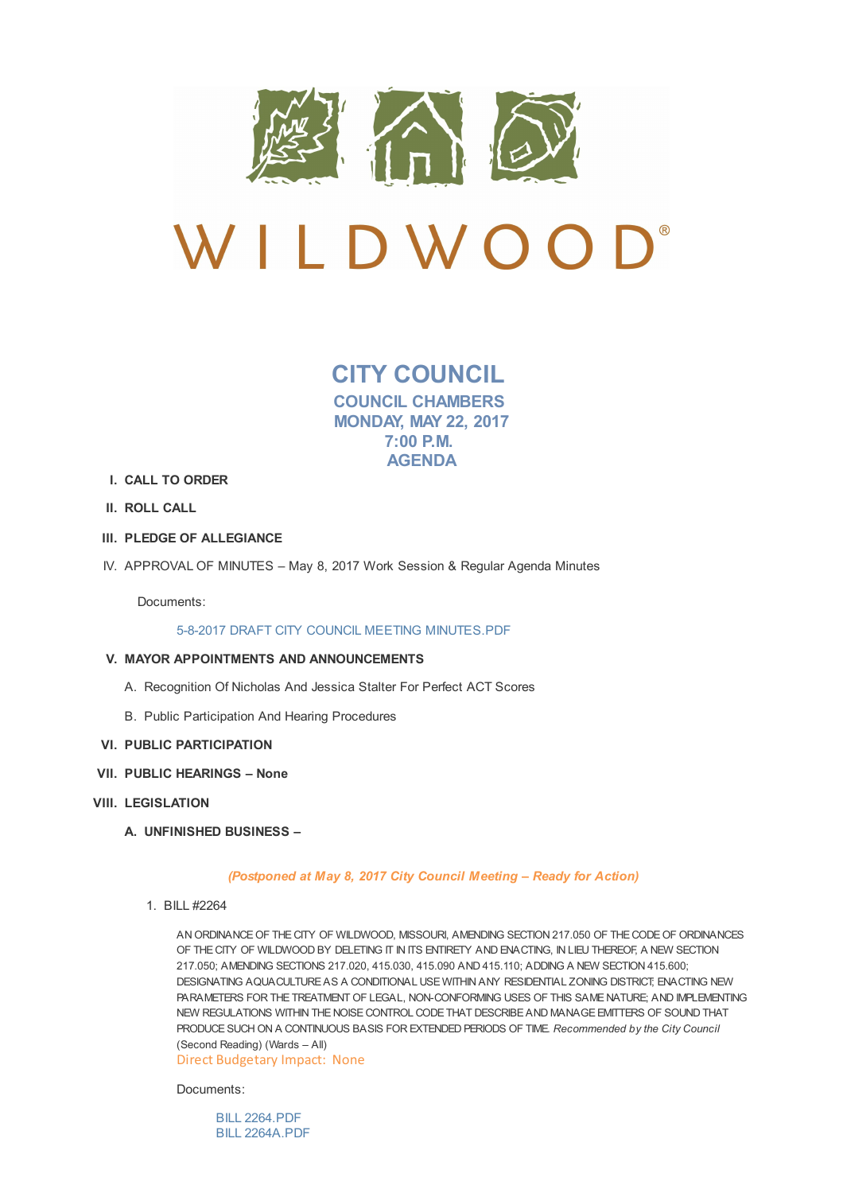

**CITY COUNCIL COUNCIL CHAMBERS MONDAY, MAY 22, 2017 7:00 P.M. AGENDA**

- **I. CALL TO ORDER**
- **II. ROLL CALL**
- **III. PLEDGE OF ALLEGIANCE**
- IV. APPROVAL OF MINUTES May 8, 2017 Work Session & Regular Agenda Minutes

Documents:

5-8-2017 DRAFT CITY COUNCIL MEETING MINUTES.PDF

## **V. MAYOR APPOINTMENTS AND ANNOUNCEMENTS**

- A. Recognition Of [Nicholas](http://www.cityofwildwood.com/AgendaCenter/ViewFile/Item/10918?fileID=15463) And Jessica Stalter For Perfect ACT Scores
- B. Public Participation And Hearing Procedures
- **VI. PUBLIC PARTICIPATION**
- **VII. PUBLIC HEARINGS – None**
- **VIII. LEGISLATION**
	- **A. UNFINISHED BUSINESS –**

*(Postponed at May 8, 2017 City Council Meeting – Ready for Action)*

1. BILL #2264

AN ORDINANCE OF THE CITY OF WILDWOOD, MISSOURI, AMENDING SECTION 217.050 OF THE CODE OF ORDINANCES OF THE CITY OF WILDWOOD BY DELETING IT IN ITS ENTIRETY AND ENACTING, IN LIEU THEREOF, A NEW SECTION 217.050; AMENDING SECTIONS 217.020, 415.030, 415.090 AND 415.110; ADDING A NEW SECTION 415.600; DESIGNATING AQUACULTUREAS A CONDITIONAL USE WITHIN ANY RESIDENTIAL ZONING DISTRICT; ENACTING NEW PARAMETERS FOR THETREATMENT OF LEGAL, NON-CONFORMING USES OF THIS SAME NATURE; AND IMPLEMENTING NEW REGULATIONS WITHIN THE NOISE CONTROL CODE THAT DESCRIBE AND MANAGE EMITTERS OF SOUND THAT PRODUCESUCH ON A CONTINUOUS BASIS FOR EXTENDED PERIODS OF TIME. *Recommended by the City Council* (Second Reading) (Wards – All)

Direct Budgetary Impact: None

Documents:

BILL 2264.PDF BILL 2264A.PDF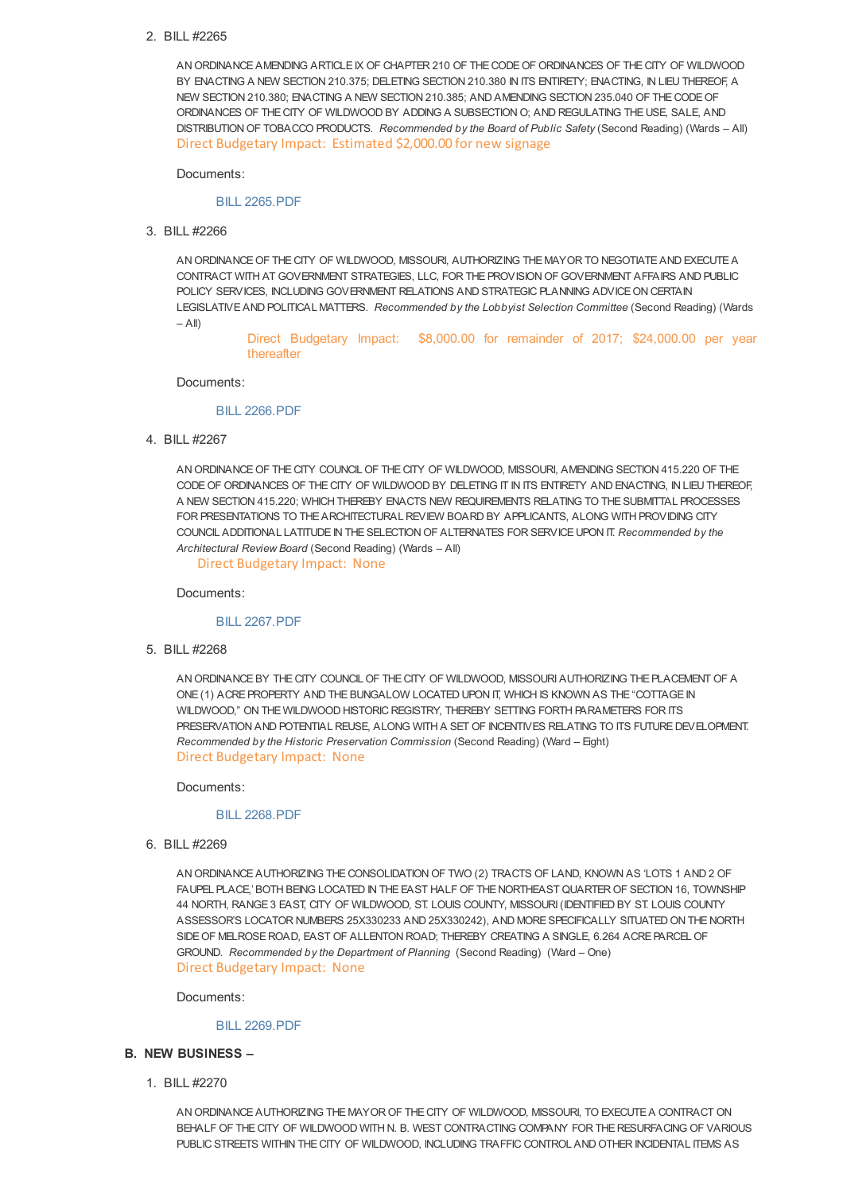## 2. BILL #2265

AN ORDINANCEAMENDING ARTICLEIX OF CHAPTER 210 OF THE CODE OF ORDINANCES OF THE CITY OF WILDWOOD BY ENACTING A NEW SECTION 210.375; DELETING SECTION 210.380 IN ITS ENTIRETY; ENACTING, IN LIEU THEREOF, A NEW SECTION 210.380; ENACTING A NEW SECTION 210.385; AND AMENDING SECTION 235.040 OF THE CODE OF ORDINANCES OF THE CITY OF WILDWOOD BY ADDING A SUBSECTION O; AND REGULATING THE USE, SALE, AND DISTRIBUTION OF TOBACCO PRODUCTS. *Recommended by the Board of Public Safety* (Second Reading) (Wards – All) Direct Budgetary Impact: Estimated \$2,000.00 for new signage

Documents:

#### BILL 2265.PDF

3. BILL #2266

AN ORDINANCE OF THE CITY OF WILDWOOD, MISSOURLALITHORIZING THE MAY OR TO NEGOTIATE AND EXECUTE A CONTRACT WITH AT GOVERNMENT STRATEGIES, LLC, FOR THEPROVISION OF GOVERNMENT AFFAIRS AND PUBLIC POLICY SERVICES, INCLUDING GOVERNMENT RELATIONS AND STRATEGIC PLANNING ADVICE ON CERTAIN LEGISLATIVEAND POLITICAL MATTERS. *Recommended by the Lobbyist Selection Committee* (Second Reading) (Wards  $-$  All)

> Direct Budgetary Impact: \$8,000.00 for remainder of 2017; \$24,000.00 per year thereafter

#### Documents:

### BILL 2266.PDF

4. BILL #2267

AN ORDINANCE OF THE CITY COUNCIL OF THE CITY OF WILDWOOD, MISSOURI, AMENDING SECTION 415.220 OF THE CODE OF ORDINANCES OF THE CITY OF WILDWOOD BY DELETING IT IN ITS ENTIRETY AND ENACTING, IN LIEU THEREOF, A NEW SECTION 415.220; WHICH THEREBY ENACTS NEW REQUIREMENTS RELATING TO THESUBMITTAL PROCESSES FOR PRESENTATIONS TO THE ARCHITECTURAL REVIEW BOARD BY APPLICANTS, ALONG WITH PROVIDING CITY COUNCIL ADDITIONAL LATITUDEIN THESELECTION OF ALTERNATES FOR SERVICE UPON IT. *Recommended by the Architectural Review Board* (Second Reading) (Wards – All)

Direct Budgetary Impact: None

Documents:

#### BILL 2267.PDF

5. BILL #2268

AN ORDINANCE BY THE CITY COUNCIL OF THE CITY OF WILDWOOD, MISSOURI AUTHORIZING THE PLACEMENT OF A ONE (1) ACRE PROPERTY AND THE BUNGALOW LOCATED UPON IT, WHICH IS KNOWN AS THE "COTTAGE IN WILDWOOD," ON THE WILDWOOD HISTORIC REGISTRY, THEREBY SETTING FORTH PARAMETERS FOR ITS PRESERVATION AND POTENTIAL REUSE, ALONG WITH A SET OF INCENTIVES RELATING TO ITS FUTURE DEVELOPMENT. *Recommended by the Historic Preservation Commission* (Second Reading) (Ward – Eight) Direct Budgetary Impact: None

Documents:

#### BILL 2268.PDF

6. BILL #2269

AN ORDINANCEAUTHORIZING THE CONSOLIDATION OF TWO (2) TRACTS OF LAND, KNOWN AS 'LOTS 1 AND 2 OF FAUPEL PLACE,' BOTH BEING LOCATED IN THE EAST HALF OF THE NORTHEAST QUARTER OF SECTION 16, TOWNSHIP 44 NORTH, RANGE3 EAST, CITY OF WILDWOOD, ST. LOUIS COUNTY, MISSOURI (IDENTIFIED BY ST. LOUIS COUNTY ASSESSOR'S LOCATOR NUMBERS 25X330233 AND 25X330242), AND MORESPECIFICALLY SITUATED ON THE NORTH SIDE OF MELROSE ROAD, EAST OF ALLENTON ROAD; THEREBY CREATING A SINGLE, 6.264 ACRE PARCEL OF GROUND. *Recommended by the Department of Planning* (Second Reading) (Ward – One) Direct Budgetary Impact: None

Documents:

#### BILL 2269.PDF

#### **B. NEW BUSINESS –**

1. BILL #2270

AN ORDINANCE AUTHORIZING THE MAYOR OF THE CITY OF WILDWOOD, MISSOURI, TO EXECUTE A CONTRACT ON BEHALF OF THE CITY OF WILDWOOD WITH N. B. WEST CONTRACTING COMPANY FOR THE RESURFACING OF VARIOUS PUBLIC STREETS WITHIN THE CITY OF WILDWOOD, INCLUDING TRAFFIC CONTROL AND OTHER INCIDENTAL ITEMS AS